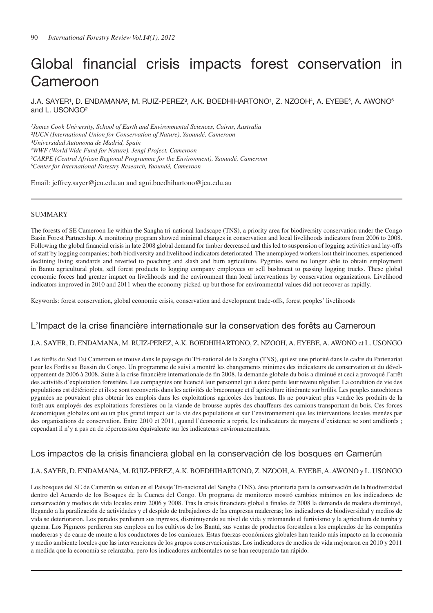# Global financial crisis impacts forest conservation in Cameroon

J.A. SAYER1, D. ENDAMANA<sup>2</sup>, M. RUIZ-PEREZ<sup>3</sup>, A.K. BOEDHIHARTONO1, Z. NZOOH<sup>4</sup>, A. EYEBE<sup>5</sup>, A. AWONO<sup>6</sup> and L. USONGO<sup>2</sup>

<sup>1</sup>James Cook University, School of Earth and Environmental Sciences, Cairns, Australia <sup>2</sup>IUCN (International Union for Conservation of Nature), Yaoundé, Cameroon <sup>3</sup>Universidad Autonoma de Madrid, Spain <sup>4</sup>WWF (World Wide Fund for Nature), Jengi Project, Cameroon <sup>5</sup>CARPE (Central African Regional Programme for the Environment), Yaoundé, Cameroon <sup>6</sup>Center for International Forestry Research, Yaoundé, Cameroon

Email: jeffrey.sayer@jcu.edu.au and agni.boedhihartono@jcu.edu.au

#### **SUMMARY**

The forests of SE Cameroon lie within the Sangha tri-national landscape (TNS), a priority area for biodiversity conservation under the Congo Basin Forest Partnership. A monitoring program showed minimal changes in conservation and local livelihoods indicators from 2006 to 2008. Following the global financial crisis in late 2008 global demand for timber decreased and this led to suspension of logging activities and lay-offs of staff by logging companies; both biodiversity and livelihood indicators deteriorated. The unemployed workers lost their incomes, experienced declining living standards and reverted to poaching and slash and burn agriculture. Pygmies were no longer able to obtain employment in Bantu agricultural plots, sell forest products to logging company employees or sell bushmeat to passing logging trucks. These global economic forces had greater impact on livelihoods and the environment than local interventions by conservation organizations. Livelihood indicators improved in 2010 and 2011 when the economy picked-up but those for environmental values did not recover as rapidly.

Keywords: forest conservation, global economic crisis, conservation and development trade-offs, forest peoples' livelihoods

# L'Impact de la crise financière internationale sur la conservation des forêts au Cameroun

## J.A. SAYER, D. ENDAMANA, M. RUIZ-PEREZ, A.K. BOEDHIHARTONO, Z. NZOOH, A. EYEBE, A. AWONO et L. USONGO

Les forêts du Sud Est Cameroun se trouve dans le paysage du Tri-national de la Sangha (TNS), qui est une priorité dans le cadre du Partenariat pour les Forêts su Bassin du Congo. Un programme de suivi a montré les changements minimes des indicateurs de conservation et du développement de 2006 à 2008. Suite à la crise financière internationale de fin 2008, la demande globale du bois a diminué et ceci a provoqué l'arrêt des activités d'exploitation forestière. Les compagnies ont licencié leur personnel qui a donc perdu leur revenu régulier. La condition de vie des populations est détériorée et ils se sont reconvertis dans les activités de braconnage et d'agriculture itinérante sur brûlis. Les peuples autochtones pygmées ne pouvaient plus obtenir les emplois dans les exploitations agricoles des bantous. Ils ne pouvaient plus vendre les produits de la forêt aux employés des exploitations forestières ou la viande de brousse auprès des chauffeurs des camions transportant du bois. Ces forces économiques globales ont eu un plus grand impact sur la vie des populations et sur l'environnement que les interventions locales menées par des organisations de conservation. Entre 2010 et 2011, quand l'économie a repris, les indicateurs de moyens d'existence se sont améliorés ; cependant il n'y a pas eu de répercussion équivalente sur les indicateurs environnementaux.

# Los impactos de la crisis financiera global en la conservación de los bosques en Camerún

## J.A. SAYER, D. ENDAMANA, M. RUIZ-PEREZ, A.K. BOEDHIHARTONO, Z. NZOOH, A. EYEBE, A. AWONO y L. USONGO

Los bosques del SE de Camerún se sitúan en el Paisaje Tri-nacional del Sangha (TNS), área prioritaria para la conservación de la biodiversidad dentro del Acuerdo de los Bosques de la Cuenca del Congo. Un programa de monitoreo mostró cambios mínimos en los indicadores de conservación y medios de vida locales entre 2006 y 2008. Tras la crisis financiera global a finales de 2008 la demanda de madera disminuyó, llegando a la paralización de actividades y el despido de trabajadores de las empresas madereras; los indicadores de biodiversidad y medios de vida se deterioraron. Los parados perdieron sus ingresos, disminuvendo su nivel de vida y retomando el furtivismo y la agricultura de tumba y quema. Los Pigmeos perdieron sus empleos en los cultivos de los Bantú, sus ventas de productos forestales a los empleados de las compañías madereras y de carne de monte a los conductores de los camiones. Estas fuerzas económicas globales han tenido más impacto en la economía y medio ambiente locales que las intervenciones de los grupos conservacionistas. Los indicadores de medios de vida mejoraron en 2010 y 2011 a medida que la economía se relanzaba, pero los indicadores ambientales no se han recuperado tan rápido.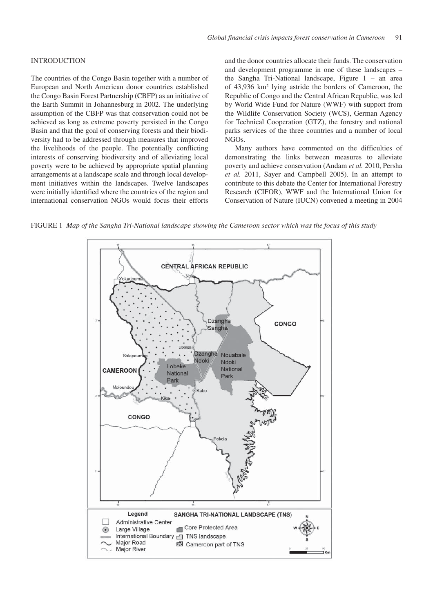## **INTRODUCTION**

The countries of the Congo Basin together with a number of European and North American donor countries established the Congo Basin Forest Partnership (CBFP) as an initiative of the Earth Summit in Johannesburg in 2002. The underlying assumption of the CBFP was that conservation could not be achieved as long as extreme poverty persisted in the Congo Basin and that the goal of conserving forests and their biodiversity had to be addressed through measures that improved the livelihoods of the people. The potentially conflicting interests of conserving biodiversity and of alleviating local poverty were to be achieved by appropriate spatial planning arrangements at a landscape scale and through local development initiatives within the landscapes. Twelve landscapes were initially identified where the countries of the region and international conservation NGOs would focus their efforts

and the donor countries allocate their funds. The conservation and development programme in one of these landscapes – the Sangha Tri-National landscape, Figure  $1 - an area$ of 43,936 km<sup>2</sup> lying astride the borders of Cameroon, the Republic of Congo and the Central African Republic, was led by World Wide Fund for Nature (WWF) with support from the Wildlife Conservation Society (WCS), German Agency for Technical Cooperation (GTZ), the forestry and national parks services of the three countries and a number of local NGO<sub>s</sub>.

Many authors have commented on the difficulties of demonstrating the links between measures to alleviate poverty and achieve conservation (Andam et al. 2010, Persha et al. 2011, Sayer and Campbell 2005). In an attempt to contribute to this debate the Center for International Forestry Research (CIFOR), WWF and the International Union for Conservation of Nature (IUCN) convened a meeting in 2004

FIGURE 1 Map of the Sangha Tri-National landscape showing the Cameroon sector which was the focus of this study

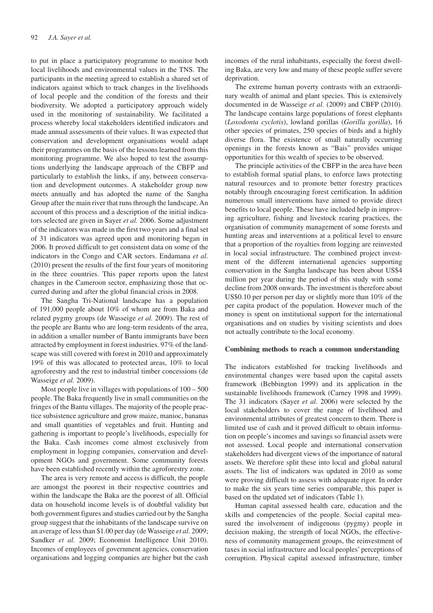to put in place a participatory programme to monitor both local livelihoods and environmental values in the TNS. The participants in the meeting agreed to establish a shared set of indicators against which to track changes in the livelihoods of local people and the condition of the forests and their biodiversity. We adopted a participatory approach widely used in the monitoring of sustainability. We facilitated a process whereby local stakeholders identified indicators and made annual assessments of their values. It was expected that conservation and development organisations would adapt their programmes on the basis of the lessons learned from this monitoring programme. We also hoped to test the assumptions underlying the landscape approach of the CBFP and particularly to establish the links, if any, between conservation and development outcomes. A stakeholder group now meets annually and has adopted the name of the Sangha Group after the main river that runs through the landscape. An account of this process and a description of the initial indicators selected are given in Sayer et al. 2006. Some adjustment of the indicators was made in the first two years and a final set of 31 indicators was agreed upon and monitoring began in 2006. It proved difficult to get consistent data on some of the indicators in the Congo and CAR sectors. Endamana et al. (2010) present the results of the first four years of monitoring in the three countries. This paper reports upon the latest changes in the Cameroon sector, emphasizing those that occurred during and after the global financial crisis in 2008.

The Sangha Tri-National landscape has a population of 191,000 people about 10% of whom are from Baka and related pygmy groups (de Wasseige et al. 2009). The rest of the people are Bantu who are long-term residents of the area, in addition a smaller number of Bantu immigrants have been attracted by employment in forest industries. 97% of the landscape was still covered with forest in 2010 and approximately 19% of this was allocated to protected areas, 10% to local agroforestry and the rest to industrial timber concessions (de Wasseige et al. 2009).

Most people live in villages with populations of  $100 - 500$ people. The Baka frequently live in small communities on the fringes of the Bantu villages. The majority of the people practice subsistence agriculture and grow maize, manioc, bananas and small quantities of vegetables and fruit. Hunting and gathering is important to people's livelihoods, especially for the Baka. Cash incomes come almost exclusively from employment in logging companies, conservation and development NGOs and government. Some community forests have been established recently within the agroforestry zone.

The area is very remote and access is difficult, the people are amongst the poorest in their respective countries and within the landscape the Baka are the poorest of all. Official data on household income levels is of doubtful validity but both government figures and studies carried out by the Sangha group suggest that the inhabitants of the landscape survive on an average of less than \$1.00 per day (de Wasseige et al. 2009; Sandker et al. 2009; Economist Intelligence Unit 2010). Incomes of employees of government agencies, conservation organisations and logging companies are higher but the cash

incomes of the rural inhabitants, especially the forest dwelling Baka, are very low and many of these people suffer severe deprivation.

The extreme human poverty contrasts with an extraordinary wealth of animal and plant species. This is extensively documented in de Wasseige et al. (2009) and CBFP (2010). The landscape contains large populations of forest elephants (Loxodonta cyclotis), lowland gorillas (Gorilla gorilla), 16 other species of primates, 250 species of birds and a highly diverse flora. The existence of small naturally occurring openings in the forests known as "Bais" provides unique opportunities for this wealth of species to be observed.

The principle activities of the CBFP in the area have been to establish formal spatial plans, to enforce laws protecting natural resources and to promote better forestry practices notably through encouraging forest certification. In addition numerous small interventions have aimed to provide direct benefits to local people. These have included help in improving agriculture, fishing and livestock rearing practices, the organisation of community management of some forests and hunting areas and interventions at a political level to ensure that a proportion of the royalties from logging are reinvested in local social infrastructure. The combined project investment of the different international agencies supporting conservation in the Sangha landscape has been about US\$4 million per year during the period of this study with some decline from 2008 onwards. The investment is therefore about US\$0.10 per person per day or slightly more than 10% of the per capita product of the population. However much of the money is spent on institutional support for the international organisations and on studies by visiting scientists and does not actually contribute to the local economy.

#### Combining methods to reach a common understanding

The indicators established for tracking livelihoods and environmental changes were based upon the capital assets framework (Bebbington 1999) and its application in the sustainable livelihoods framework (Carney 1998 and 1999). The 31 indicators (Sayer *et al.* 2006) were selected by the local stakeholders to cover the range of livelihood and environmental attributes of greatest concern to them. There is limited use of cash and it proved difficult to obtain information on people's incomes and savings so financial assets were not assessed. Local people and international conservation stakeholders had divergent views of the importance of natural assets. We therefore split these into local and global natural assets. The list of indicators was updated in 2010 as some were proving difficult to assess with adequate rigor. In order to make the six years time series comparable, this paper is based on the updated set of indicators (Table 1).

Human capital assessed health care, education and the skills and competencies of the people. Social capital measured the involvement of indigenous (pygmy) people in decision making, the strength of local NGOs, the effectiveness of community management groups, the reinvestment of taxes in social infrastructure and local peoples' perceptions of corruption. Physical capital assessed infrastructure, timber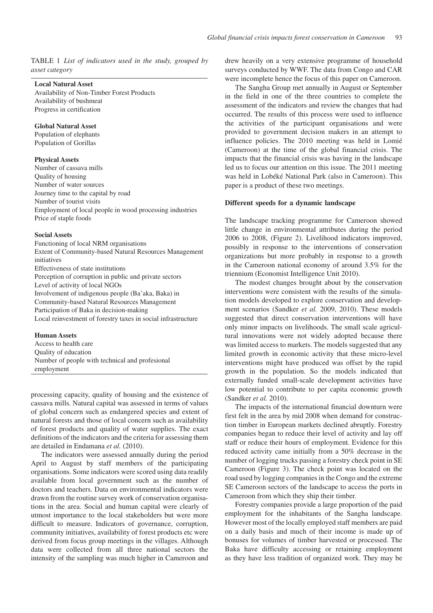TABLE 1 List of indicators used in the study, grouped by asset category

#### **Local Natural Asset**

Availability of Non-Timber Forest Products Availability of bushmeat Progress in certification

#### **Global Natural Asset**

Population of elephants Population of Gorillas

#### **Physical Assets**

Number of cassava mills Quality of housing Number of water sources Journey time to the capital by road Number of tourist visits Employment of local people in wood processing industries Price of staple foods

#### **Social Assets**

Functioning of local NRM organisations Extent of Community-based Natural Resources Management initiatives Effectiveness of state institutions Perception of corruption in public and private sectors Level of activity of local NGOs Involvement of indigenous people (Ba'aka, Baka) in Community-based Natural Resources Management Participation of Baka in decision-making Local reinvestment of forestry taxes in social infrastructure

#### **Human Assets**

Access to health care Quality of education Number of people with technical and profesional employment

processing capacity, quality of housing and the existence of cassava mills. Natural capital was assessed in terms of values of global concern such as endangered species and extent of natural forests and those of local concern such as availability of forest products and quality of water supplies. The exact definitions of the indicators and the criteria for assessing them are detailed in Endamana et al. (2010).

The indicators were assessed annually during the period April to August by staff members of the participating organisations. Some indicators were scored using data readily available from local government such as the number of doctors and teachers. Data on environmental indicators were drawn from the routine survey work of conservation organisations in the area. Social and human capital were clearly of utmost importance to the local stakeholders but were more difficult to measure. Indicators of governance, corruption, community initiatives, availability of forest products etc were derived from focus group meetings in the villages. Although data were collected from all three national sectors the intensity of the sampling was much higher in Cameroon and

drew heavily on a very extensive programme of household surveys conducted by WWF. The data from Congo and CAR were incomplete hence the focus of this paper on Cameroon.

The Sangha Group met annually in August or September in the field in one of the three countries to complete the assessment of the indicators and review the changes that had occurred. The results of this process were used to influence the activities of the participant organisations and were provided to government decision makers in an attempt to influence policies. The 2010 meeting was held in Lomié (Cameroon) at the time of the global financial crisis. The impacts that the financial crisis was having in the landscape led us to focus our attention on this issue. The 2011 meeting was held in Lobéké National Park (also in Cameroon). This paper is a product of these two meetings.

#### Different speeds for a dynamic landscape

The landscape tracking programme for Cameroon showed little change in environmental attributes during the period 2006 to 2008, (Figure 2). Livelihood indicators improved, possibly in response to the interventions of conservation organizations but more probably in response to a growth in the Cameroon national economy of around 3.5% for the triennium (Economist Intelligence Unit 2010).

The modest changes brought about by the conservation interventions were consistent with the results of the simulation models developed to explore conservation and development scenarios (Sandker et al. 2009, 2010). These models suggested that direct conservation interventions will have only minor impacts on livelihoods. The small scale agricultural innovations were not widely adopted because there was limited access to markets. The models suggested that any limited growth in economic activity that these micro-level interventions might have produced was offset by the rapid growth in the population. So the models indicated that externally funded small-scale development activities have low potential to contribute to per capita economic growth (Sandker et al. 2010).

The impacts of the international financial downturn were first felt in the area by mid 2008 when demand for construction timber in European markets declined abruptly. Forestry companies began to reduce their level of activity and lay off staff or reduce their hours of employment. Evidence for this reduced activity came initially from a 50% decrease in the number of logging trucks passing a forestry check point in SE Cameroon (Figure 3). The check point was located on the road used by logging companies in the Congo and the extreme SE Cameroon sectors of the landscape to access the ports in Cameroon from which they ship their timber.

Forestry companies provide a large proportion of the paid employment for the inhabitants of the Sangha landscape. However most of the locally employed staff members are paid on a daily basis and much of their income is made up of bonuses for volumes of timber harvested or processed. The Baka have difficulty accessing or retaining employment as they have less tradition of organized work. They may be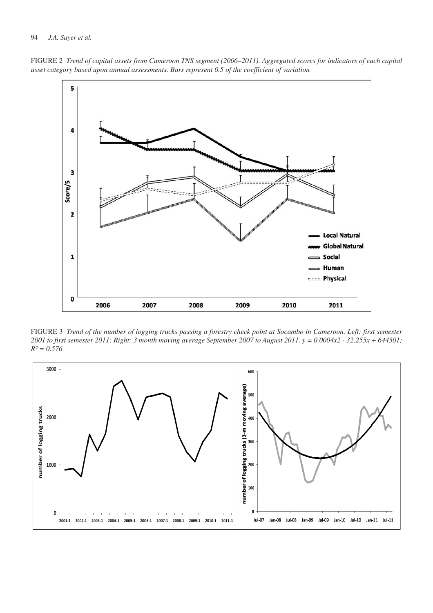

FIGURE 2 Trend of capital assets from Cameroon TNS segment (2006-2011). Aggregated scores for indicators of each capital asset category based upon annual assessments. Bars represent 0.5 of the coefficient of variation

FIGURE 3 Trend of the number of logging trucks passing a forestry check point at Socambo in Cameroon. Left: first semester 2001 to first semester 2011; Right: 3 month moving average September 2007 to August 2011.  $y = 0.0004x^2 - 32.255x + 644501$ ;  $R^2 = 0.576$ 

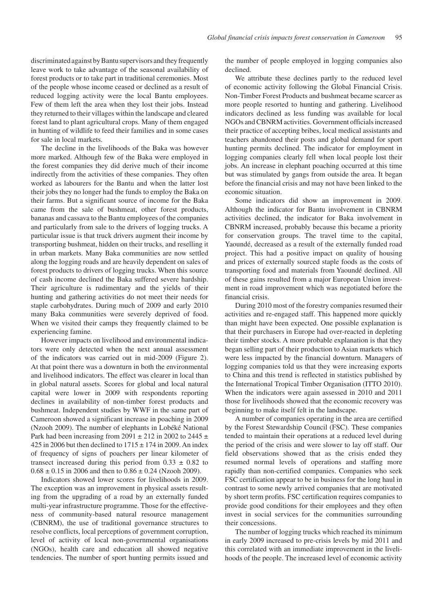discriminated against by Bantu supervisors and they frequently leave work to take advantage of the seasonal availability of forest products or to take part in traditional ceremonies. Most of the people whose income ceased or declined as a result of reduced logging activity were the local Bantu employees. Few of them left the area when they lost their jobs. Instead they returned to their villages within the landscape and cleared forest land to plant agricultural crops. Many of them engaged in hunting of wildlife to feed their families and in some cases for sale in local markets.

The decline in the livelihoods of the Baka was however more marked. Although few of the Baka were employed in the forest companies they did derive much of their income indirectly from the activities of these companies. They often worked as labourers for the Bantu and when the latter lost their jobs they no longer had the funds to employ the Baka on their farms. But a significant source of income for the Baka came from the sale of bushmeat, other forest products, bananas and cassava to the Bantu employees of the companies and particularly from sale to the drivers of logging trucks. A particular issue is that truck drivers augment their income by transporting bushmeat, hidden on their trucks, and reselling it in urban markets. Many Baka communities are now settled along the logging roads and are heavily dependent on sales of forest products to drivers of logging trucks. When this source of cash income declined the Baka suffered severe hardship. Their agriculture is rudimentary and the yields of their hunting and gathering activities do not meet their needs for staple carbohydrates. During much of 2009 and early 2010 many Baka communities were severely deprived of food. When we visited their camps they frequently claimed to be experiencing famine.

However impacts on livelihood and environmental indicators were only detected when the next annual assessment of the indicators was carried out in mid-2009 (Figure 2). At that point there was a downturn in both the environmental and livelihood indicators. The effect was clearer in local than in global natural assets. Scores for global and local natural capital were lower in 2009 with respondents reporting declines in availability of non-timber forest products and bushmeat. Independent studies by WWF in the same part of Cameroon showed a significant increase in poaching in 2009 (Nzooh 2009). The number of elephants in Lobéké National Park had been increasing from 2091  $\pm$  212 in 2002 to 2445  $\pm$ 425 in 2006 but then declined to  $1715 \pm 174$  in 2009. An index of frequency of signs of poachers per linear kilometer of transect increased during this period from  $0.33 \pm 0.82$  to  $0.68 \pm 0.15$  in 2006 and then to  $0.86 \pm 0.24$  (Nzooh 2009).

Indicators showed lower scores for livelihoods in 2009. The exception was an improvement in physical assets resulting from the upgrading of a road by an externally funded multi-year infrastructure programme. Those for the effectiveness of community-based natural resource management (CBNRM), the use of traditional governance structures to resolve conflicts, local perceptions of government corruption, level of activity of local non-governmental organisations (NGOs), health care and education all showed negative tendencies. The number of sport hunting permits issued and

the number of people employed in logging companies also declined.

We attribute these declines partly to the reduced level of economic activity following the Global Financial Crisis. Non-Timber Forest Products and bushmeat became scarcer as more people resorted to hunting and gathering. Livelihood indicators declined as less funding was available for local NGOs and CBNRM activities. Government officials increased their practice of accepting bribes, local medical assistants and teachers abandoned their posts and global demand for sport hunting permits declined. The indicator for employment in logging companies clearly fell when local people lost their jobs. An increase in elephant poaching occurred at this time but was stimulated by gangs from outside the area. It began before the financial crisis and may not have been linked to the economic situation.

Some indicators did show an improvement in 2009. Although the indicator for Bantu involvement in CBNRM activities declined, the indicator for Baka involvement in CBNRM increased, probably because this became a priority for conservation groups. The travel time to the capital, Yaoundé, decreased as a result of the externally funded road project. This had a positive impact on quality of housing and prices of externally sourced staple foods as the costs of transporting food and materials from Yaoundé declined. All of these gains resulted from a major European Union investment in road improvement which was negotiated before the financial crisis.

During 2010 most of the forestry companies resumed their activities and re-engaged staff. This happened more quickly than might have been expected. One possible explanation is that their purchasers in Europe had over-reacted in depleting their timber stocks. A more probable explanation is that they began selling part of their production to Asian markets which were less impacted by the financial downturn. Managers of logging companies told us that they were increasing exports to China and this trend is reflected in statistics published by the International Tropical Timber Organisation (ITTO 2010). When the indicators were again assessed in 2010 and 2011 those for livelihoods showed that the economic recovery was beginning to make itself felt in the landscape.

A number of companies operating in the area are certified by the Forest Stewardship Council (FSC). These companies tended to maintain their operations at a reduced level during the period of the crisis and were slower to lay off staff. Our field observations showed that as the crisis ended they resumed normal levels of operations and staffing more rapidly than non-certified companies. Companies who seek FSC certification appear to be in business for the long haul in contrast to some newly arrived companies that are motivated by short term profits. FSC certification requires companies to provide good conditions for their employees and they often invest in social services for the communities surrounding their concessions.

The number of logging trucks which reached its minimum in early 2009 increased to pre-crisis levels by mid 2011 and this correlated with an immediate improvement in the livelihoods of the people. The increased level of economic activity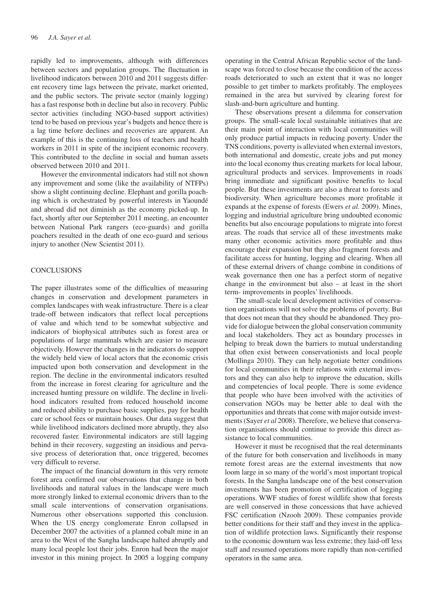rapidly led to improvements, although with differences between sectors and population groups. The fluctuation in livelihood indicators between 2010 and 2011 suggests different recovery time lags between the private, market oriented, and the public sectors. The private sector (mainly logging) has a fast response both in decline but also in recovery. Public sector activities (including NGO-based support activities) tend to be based on previous year's budgets and hence there is a lag time before declines and recoveries are apparent. An example of this is the continuing loss of teachers and health workers in 2011 in spite of the incipient economic recovery. This contributed to the decline in social and human assets observed between 2010 and 2011.

However the environmental indicators had still not shown any improvement and some (like the availability of NTFPs) show a slight continuing decline. Elephant and gorilla poaching which is orchestrated by powerful interests in Yaoundé and abroad did not diminish as the economy picked-up. In fact, shortly after our September 2011 meeting, an encounter between National Park rangers (eco-guards) and gorilla poachers resulted in the death of one eco-guard and serious injury to another (New Scientist 2011).

#### **CONCLUSIONS**

The paper illustrates some of the difficulties of measuring changes in conservation and development parameters in complex landscapes with weak infrastructure. There is a clear trade-off between indicators that reflect local perceptions of value and which tend to be somewhat subjective and indicators of biophysical attributes such as forest area or populations of large mammals which are easier to measure objectively. However the changes in the indicators do support the widely held view of local actors that the economic crisis impacted upon both conservation and development in the region. The decline in the environmental indicators resulted from the increase in forest clearing for agriculture and the increased hunting pressure on wildlife. The decline in livelihood indicators resulted from reduced household income and reduced ability to purchase basic supplies, pay for health care or school fees or maintain houses. Our data suggest that while livelihood indicators declined more abruptly, they also recovered faster. Environmental indicators are still lagging behind in their recovery, suggesting an insidious and pervasive process of deterioration that, once triggered, becomes very difficult to reverse.

The impact of the financial downturn in this very remote forest area confirmed our observations that change in both livelihoods and natural values in the landscape were much more strongly linked to external economic drivers than to the small scale interventions of conservation organisations. Numerous other observations supported this conclusion. When the US energy conglomerate Enron collapsed in December 2007 the activities of a planned cobalt mine in an area to the West of the Sangha landscape halted abruptly and many local people lost their jobs. Enron had been the major investor in this mining project. In 2005 a logging company

operating in the Central African Republic sector of the landscape was forced to close because the condition of the access roads deteriorated to such an extent that it was no longer possible to get timber to markets profitably. The employees remained in the area but survived by clearing forest for slash-and-burn agriculture and hunting.

These observations present a dilemma for conservation groups. The small-scale local sustainable initiatives that are their main point of interaction with local communities will only produce partial impacts in reducing poverty. Under the TNS conditions, poverty is alleviated when external investors, both international and domestic, create jobs and put money into the local economy thus creating markets for local labour, agricultural products and services. Improvements in roads bring immediate and significant positive benefits to local people. But these investments are also a threat to forests and biodiversity. When agriculture becomes more profitable it expands at the expense of forests (Ewers et al. 2009). Mines, logging and industrial agriculture bring undoubted economic benefits but also encourage populations to migrate into forest areas. The roads that service all of these investments make many other economic activities more profitable and thus encourage their expansion but they also fragment forests and facilitate access for hunting, logging and clearing. When all of these external drivers of change combine in conditions of weak governance then one has a perfect storm of negative change in the environment but also  $-$  at least in the short term-improvements in peoples' livelihoods.

The small-scale local development activities of conservation organisations will not solve the problems of poverty. But that does not mean that they should be abandoned. They provide for dialogue between the global conservation community and local stakeholders. They act as boundary processes in helping to break down the barriers to mutual understanding that often exist between conservationists and local people (Mollinga 2010). They can help negotiate better conditions for local communities in their relations with external investors and they can also help to improve the education, skills and competencies of local people. There is some evidence that people who have been involved with the activities of conservation NGOs may be better able to deal with the opportunities and threats that come with major outside investments (Sayer et al 2008). Therefore, we believe that conservation organisations should continue to provide this direct assistance to local communities.

However it must be recognised that the real determinants of the future for both conservation and livelihoods in many remote forest areas are the external investments that now loom large in so many of the world's most important tropical forests. In the Sangha landscape one of the best conservation investments has been promotion of certification of logging operations. WWF studies of forest wildlife show that forests are well conserved in those concessions that have achieved FSC certification (Nzooh 2009). These companies provide better conditions for their staff and they invest in the application of wildlife protection laws. Significantly their response to the economic downturn was less extreme; they laid-off less staff and resumed operations more rapidly than non-certified operators in the same area.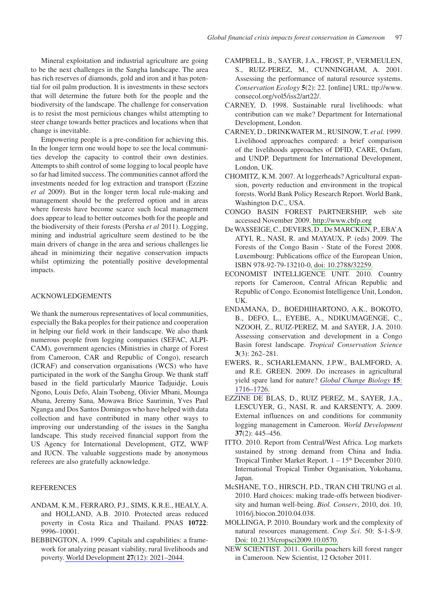Mineral exploitation and industrial agriculture are going to be the next challenges in the Sangha landscape. The area has rich reserves of diamonds, gold and iron and it has potential for oil palm production. It is investments in these sectors that will determine the future both for the people and the biodiversity of the landscape. The challenge for conservation is to resist the most pernicious changes whilst attempting to steer change towards better practices and locations when that change is inevitable.

Empowering people is a pre-condition for achieving this. In the longer term one would hope to see the local communities develop the capacity to control their own destinies. Attempts to shift control of some logging to local people have so far had limited success. The communities cannot afford the investments needed for log extraction and transport (Ezzine et al 2009). But in the longer term local rule-making and management should be the preferred option and in areas where forests have become scarce such local management does appear to lead to better outcomes both for the people and the biodiversity of their forests (Persha et al 2011). Logging, mining and industrial agriculture seem destined to be the main drivers of change in the area and serious challenges lie ahead in minimizing their negative conservation impacts whilst optimizing the potentially positive developmental impacts.

#### **ACKNOWLEDGEMENTS**

We thank the numerous representatives of local communities, especially the Baka peoples for their patience and cooperation in helping our field work in their landscape. We also thank numerous people from logging companies (SEFAC, ALPI-CAM), government agencies (Ministries in charge of Forest from Cameroon, CAR and Republic of Congo), research (ICRAF) and conservation organisations (WCS) who have participated in the work of the Sangha Group. We thank staff based in the field particularly Maurice Tadjuidje, Louis Ngono, Louis Defo, Alain Tsobeng, Olivier Mbani, Mounga Abana, Jeremy Sana, Mowawa Brice Saurimin, Yves Paul Nganga and Dos Santos Domingos who have helped with data collection and have contributed in many other ways to improving our understanding of the issues in the Sangha landscape. This study received financial support from the US Agency for International Development, GTZ, WWF and IUCN. The valuable suggestions made by anonymous referees are also gratefully acknowledge.

#### **REFERENCES**

- ANDAM, K.M., FERRARO, P.J., SIMS, K.R.E., HEALY, A. and HOLLAND, A.B. 2010. Protected areas reduced poverty in Costa Rica and Thailand. PNAS 10722: 9996-10001.
- BEBBINGTON, A. 1999. Capitals and capabilities: a framework for analyzing peasant viability, rural livelihoods and poverty. World Development 27(12): 2021-2044.
- CAMPBELL, B., SAYER, J.A., FROST, P., VERMEULEN, S., RUIZ-PEREZ, M., CUNNINGHAM, A. 2001. Assessing the performance of natural resource systems. Conservation Ecology 5(2): 22. [online] URL: ttp://www. consecol.org/vol5/iss2/art22/.
- CARNEY, D. 1998. Sustainable rural livelihoods: what contribution can we make? Department for International Development, London.
- CARNEY, D., DRINKWATER M., RUSINOW, T. et al. 1999. Livelihood approaches compared: a brief comparison of the livelihoods approaches of DFID, CARE, Oxfam, and UNDP. Department for International Development, London, UK.
- CHOMITZ, K.M. 2007. At loggerheads? Agricultural expansion, poverty reduction and environment in the tropical forests. World Bank Policy Research Report. World Bank, Washington D.C., USA.
- CONGO BASIN FOREST PARTNERSHIP, web site accessed November 2009. http://www.cbfp.org
- De WASSEIGE, C., DEVERS, D., De MARCKEN, P., EBA'A ATYI, R., NASI, R. and MAYAUX, P. (eds) 2009. The Forests of the Congo Basin - State of the Forest 2008. Luxembourg: Publications office of the European Union, ISBN 978-92-79-13210-0, doi: 10.2788/32259.
- ECONOMIST INTELLIGENCE UNIT. 2010. Country reports for Cameroon, Central African Republic and Republic of Congo. Economist Intelligence Unit, London, UK.
- ENDAMANA, D., BOEDHIHARTONO, A.K., BOKOTO, B., DEFO, L., EYEBE, A., NDIKUMAGENGE, C., NZOOH, Z., RUIZ-PEREZ, M. and SAYER, J.A. 2010. Assessing conservation and development in a Congo Basin forest landscape. Tropical Conservation Science  $3(3)$ : 262-281.
- EWERS, R., SCHARLEMANN, J.P.W., BALMFORD, A. and R.E. GREEN. 2009. Do increases in agricultural yield spare land for nature? Global Change Biology 15: 1716-1726.
- EZZINE DE BLAS, D., RUIZ PEREZ, M., SAYER, J.A., LESCUYER, G., NASI, R. and KARSENTY, A. 2009. External influences on and conditions for community logging management in Cameroon. World Development  $37(2): 445 - 456.$
- ITTO. 2010. Report from Central/West Africa. Log markets sustained by strong demand from China and India. Tropical Timber Market Report.  $1 - 15<sup>th</sup>$  December 2010. International Tropical Timber Organisation, Yokohama, Japan.
- McSHANE, T.O., HIRSCH, P.D., TRAN CHI TRUNG et al. 2010. Hard choices: making trade-offs between biodiversity and human well-being. Biol. Conserv, 2010, doi. 10, 1016/j.biocon.2010.04.038.
- MOLLINGA, P. 2010. Boundary work and the complexity of natural resources management. Crop Sci. 50: S-1-S-9. Doi: 10.2135/cropsci2009.10.0570.
- NEW SCIENTIST. 2011. Gorilla poachers kill forest ranger in Cameroon. New Scientist, 12 October 2011.